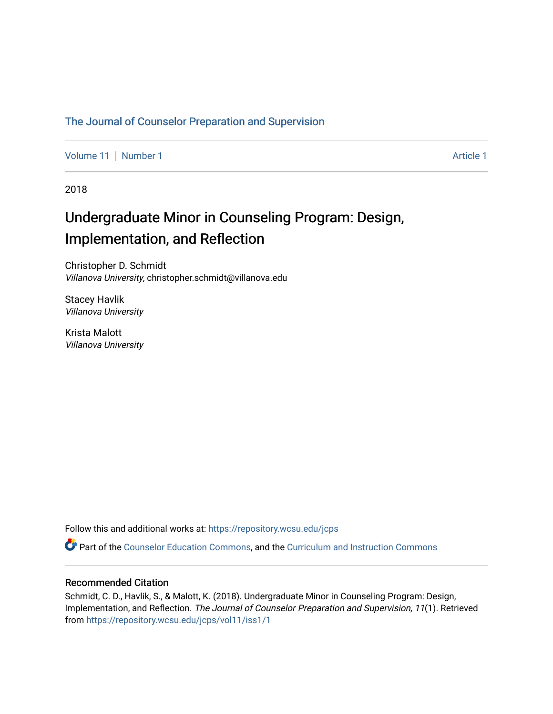# [The Journal of Counselor Preparation and Supervision](https://repository.wcsu.edu/jcps)

[Volume 11](https://repository.wcsu.edu/jcps/vol11) [Number 1](https://repository.wcsu.edu/jcps/vol11/iss1) Article 1

2018

# Undergraduate Minor in Counseling Program: Design, Implementation, and Reflection

Christopher D. Schmidt Villanova University, christopher.schmidt@villanova.edu

Stacey Havlik Villanova University

Krista Malott Villanova University

Follow this and additional works at: [https://repository.wcsu.edu/jcps](https://repository.wcsu.edu/jcps?utm_source=repository.wcsu.edu%2Fjcps%2Fvol11%2Fiss1%2F1&utm_medium=PDF&utm_campaign=PDFCoverPages) 

Part of the [Counselor Education Commons,](http://network.bepress.com/hgg/discipline/1278?utm_source=repository.wcsu.edu%2Fjcps%2Fvol11%2Fiss1%2F1&utm_medium=PDF&utm_campaign=PDFCoverPages) and the [Curriculum and Instruction Commons](http://network.bepress.com/hgg/discipline/786?utm_source=repository.wcsu.edu%2Fjcps%2Fvol11%2Fiss1%2F1&utm_medium=PDF&utm_campaign=PDFCoverPages)

# Recommended Citation

Schmidt, C. D., Havlik, S., & Malott, K. (2018). Undergraduate Minor in Counseling Program: Design, Implementation, and Reflection. The Journal of Counselor Preparation and Supervision, 11(1). Retrieved from [https://repository.wcsu.edu/jcps/vol11/iss1/1](https://repository.wcsu.edu/jcps/vol11/iss1/1?utm_source=repository.wcsu.edu%2Fjcps%2Fvol11%2Fiss1%2F1&utm_medium=PDF&utm_campaign=PDFCoverPages)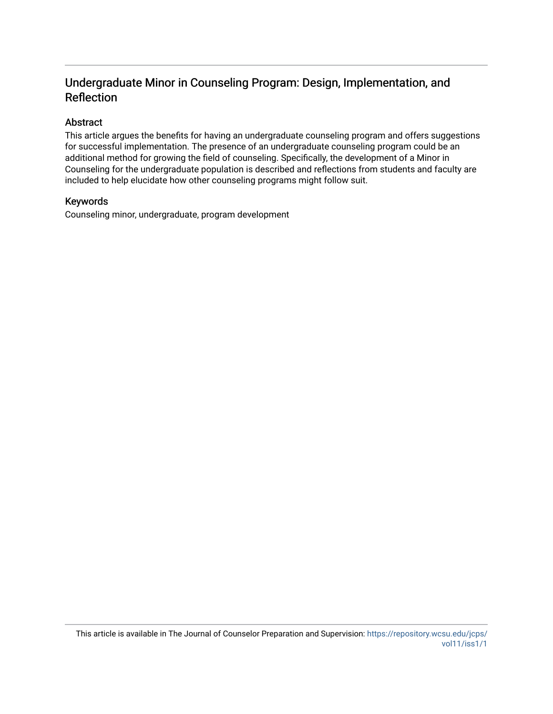# Undergraduate Minor in Counseling Program: Design, Implementation, and Reflection

# Abstract

This article argues the benefits for having an undergraduate counseling program and offers suggestions for successful implementation. The presence of an undergraduate counseling program could be an additional method for growing the field of counseling. Specifically, the development of a Minor in Counseling for the undergraduate population is described and reflections from students and faculty are included to help elucidate how other counseling programs might follow suit.

# Keywords

Counseling minor, undergraduate, program development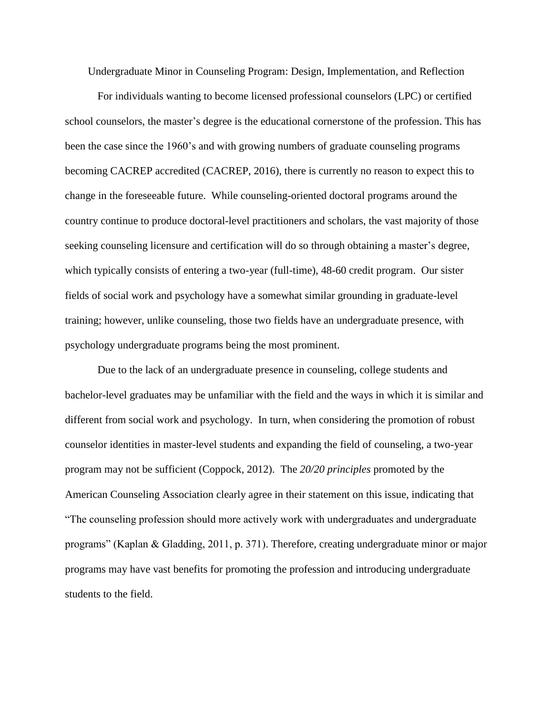Undergraduate Minor in Counseling Program: Design, Implementation, and Reflection

For individuals wanting to become licensed professional counselors (LPC) or certified school counselors, the master's degree is the educational cornerstone of the profession. This has been the case since the 1960's and with growing numbers of graduate counseling programs becoming CACREP accredited (CACREP, 2016), there is currently no reason to expect this to change in the foreseeable future. While counseling-oriented doctoral programs around the country continue to produce doctoral-level practitioners and scholars, the vast majority of those seeking counseling licensure and certification will do so through obtaining a master's degree, which typically consists of entering a two-year (full-time), 48-60 credit program. Our sister fields of social work and psychology have a somewhat similar grounding in graduate-level training; however, unlike counseling, those two fields have an undergraduate presence, with psychology undergraduate programs being the most prominent.

Due to the lack of an undergraduate presence in counseling, college students and bachelor-level graduates may be unfamiliar with the field and the ways in which it is similar and different from social work and psychology. In turn, when considering the promotion of robust counselor identities in master-level students and expanding the field of counseling, a two-year program may not be sufficient (Coppock, 2012). The *20/20 principles* promoted by the American Counseling Association clearly agree in their statement on this issue, indicating that "The counseling profession should more actively work with undergraduates and undergraduate programs" (Kaplan & Gladding, 2011, p. 371). Therefore, creating undergraduate minor or major programs may have vast benefits for promoting the profession and introducing undergraduate students to the field.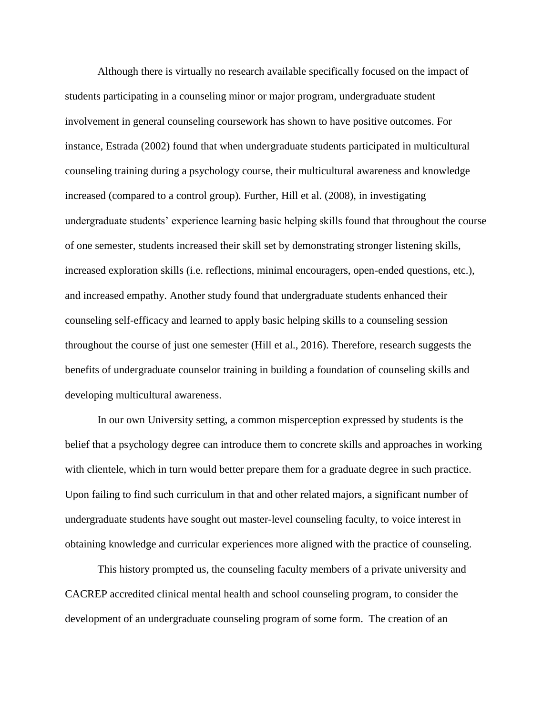Although there is virtually no research available specifically focused on the impact of students participating in a counseling minor or major program, undergraduate student involvement in general counseling coursework has shown to have positive outcomes. For instance, Estrada (2002) found that when undergraduate students participated in multicultural counseling training during a psychology course, their multicultural awareness and knowledge increased (compared to a control group). Further, Hill et al. (2008), in investigating undergraduate students' experience learning basic helping skills found that throughout the course of one semester, students increased their skill set by demonstrating stronger listening skills, increased exploration skills (i.e. reflections, minimal encouragers, open-ended questions, etc.), and increased empathy. Another study found that undergraduate students enhanced their counseling self-efficacy and learned to apply basic helping skills to a counseling session throughout the course of just one semester (Hill et al., 2016). Therefore, research suggests the benefits of undergraduate counselor training in building a foundation of counseling skills and developing multicultural awareness.

In our own University setting, a common misperception expressed by students is the belief that a psychology degree can introduce them to concrete skills and approaches in working with clientele, which in turn would better prepare them for a graduate degree in such practice. Upon failing to find such curriculum in that and other related majors, a significant number of undergraduate students have sought out master-level counseling faculty, to voice interest in obtaining knowledge and curricular experiences more aligned with the practice of counseling.

This history prompted us, the counseling faculty members of a private university and CACREP accredited clinical mental health and school counseling program, to consider the development of an undergraduate counseling program of some form. The creation of an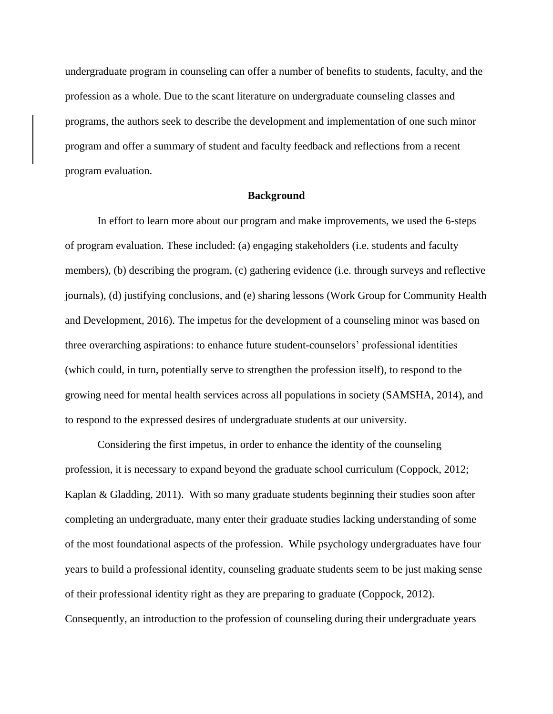undergraduate program in counseling can offer a number of benefits to students, faculty, and the profession as a whole. Due to the scant literature on undergraduate counseling classes and programs, the authors seek to describe the development and implementation of one such minor program and offer a summary of student and faculty feedback and reflections from a recent program evaluation.

### **Background**

In effort to learn more about our program and make improvements, we used the 6-steps of program evaluation. These included: (a) engaging stakeholders (i.e. students and faculty members), (b) describing the program, (c) gathering evidence (i.e. through surveys and reflective journals), (d) justifying conclusions, and (e) sharing lessons (Work Group for Community Health and Development, 2016). The impetus for the development of a counseling minor was based on three overarching aspirations: to enhance future student-counselors' professional identities (which could, in turn, potentially serve to strengthen the profession itself), to respond to the growing need for mental health services across all populations in society (SAMSHA, 2014), and to respond to the expressed desires of undergraduate students at our university.

Considering the first impetus, in order to enhance the identity of the counseling profession, it is necessary to expand beyond the graduate school curriculum (Coppock, 2012; Kaplan & Gladding, 2011). With so many graduate students beginning their studies soon after completing an undergraduate, many enter their graduate studies lacking understanding of some of the most foundational aspects of the profession. While psychology undergraduates have four years to build a professional identity, counseling graduate students seem to be just making sense of their professional identity right as they are preparing to graduate (Coppock, 2012). Consequently, an introduction to the profession of counseling during their undergraduate years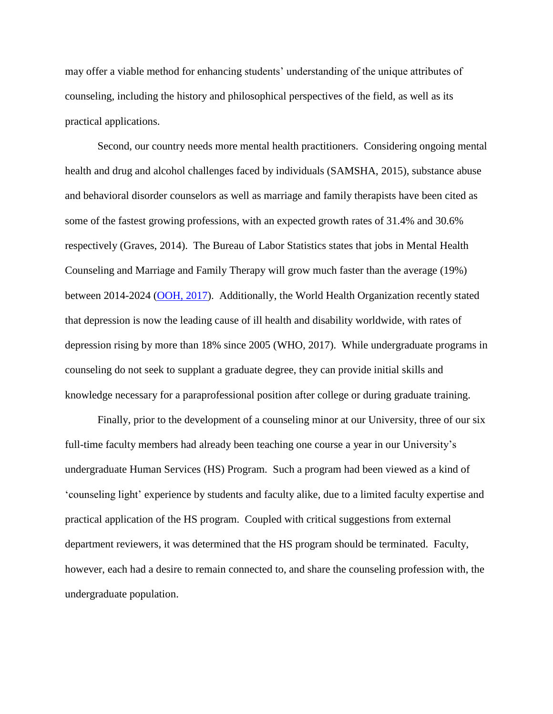may offer a viable method for enhancing students' understanding of the unique attributes of counseling, including the history and philosophical perspectives of the field, as well as its practical applications.

Second, our country needs more mental health practitioners. Considering ongoing mental health and drug and alcohol challenges faced by individuals (SAMSHA, 2015), substance abuse and behavioral disorder counselors as well as marriage and family therapists have been cited as some of the fastest growing professions, with an expected growth rates of 31.4% and 30.6% respectively (Graves, 2014). The Bureau of Labor Statistics states that jobs in Mental Health Counseling and Marriage and Family Therapy will grow much faster than the average (19%) between 2014-2024 [\(OOH, 2017\)](https://www.bls.gov/ooh/community-and-social-service/mental-health-counselors-and-marriage-and-family-therapists.htm). Additionally, the World Health Organization recently stated that depression is now the leading cause of ill health and disability worldwide, with rates of depression rising by more than 18% since 2005 (WHO, 2017). While undergraduate programs in counseling do not seek to supplant a graduate degree, they can provide initial skills and knowledge necessary for a paraprofessional position after college or during graduate training.

Finally, prior to the development of a counseling minor at our University, three of our six full-time faculty members had already been teaching one course a year in our University's undergraduate Human Services (HS) Program. Such a program had been viewed as a kind of 'counseling light' experience by students and faculty alike, due to a limited faculty expertise and practical application of the HS program. Coupled with critical suggestions from external department reviewers, it was determined that the HS program should be terminated. Faculty, however, each had a desire to remain connected to, and share the counseling profession with, the undergraduate population.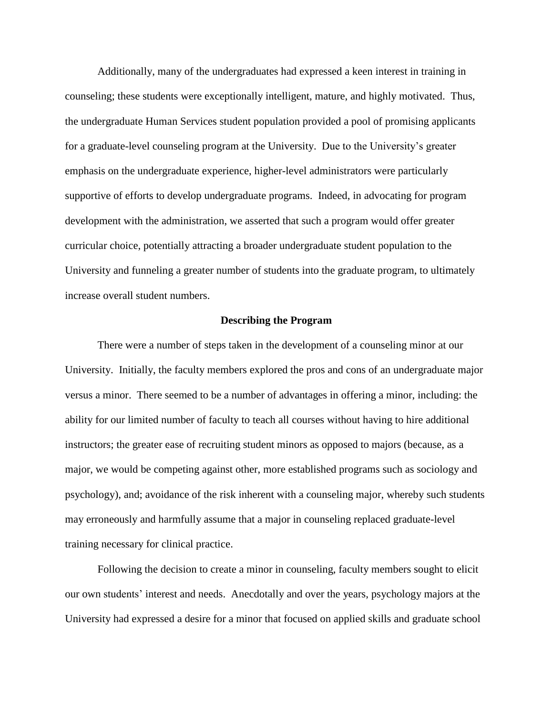Additionally, many of the undergraduates had expressed a keen interest in training in counseling; these students were exceptionally intelligent, mature, and highly motivated. Thus, the undergraduate Human Services student population provided a pool of promising applicants for a graduate-level counseling program at the University. Due to the University's greater emphasis on the undergraduate experience, higher-level administrators were particularly supportive of efforts to develop undergraduate programs. Indeed, in advocating for program development with the administration, we asserted that such a program would offer greater curricular choice, potentially attracting a broader undergraduate student population to the University and funneling a greater number of students into the graduate program, to ultimately increase overall student numbers.

#### **Describing the Program**

There were a number of steps taken in the development of a counseling minor at our University. Initially, the faculty members explored the pros and cons of an undergraduate major versus a minor. There seemed to be a number of advantages in offering a minor, including: the ability for our limited number of faculty to teach all courses without having to hire additional instructors; the greater ease of recruiting student minors as opposed to majors (because, as a major, we would be competing against other, more established programs such as sociology and psychology), and; avoidance of the risk inherent with a counseling major, whereby such students may erroneously and harmfully assume that a major in counseling replaced graduate-level training necessary for clinical practice.

Following the decision to create a minor in counseling, faculty members sought to elicit our own students' interest and needs. Anecdotally and over the years, psychology majors at the University had expressed a desire for a minor that focused on applied skills and graduate school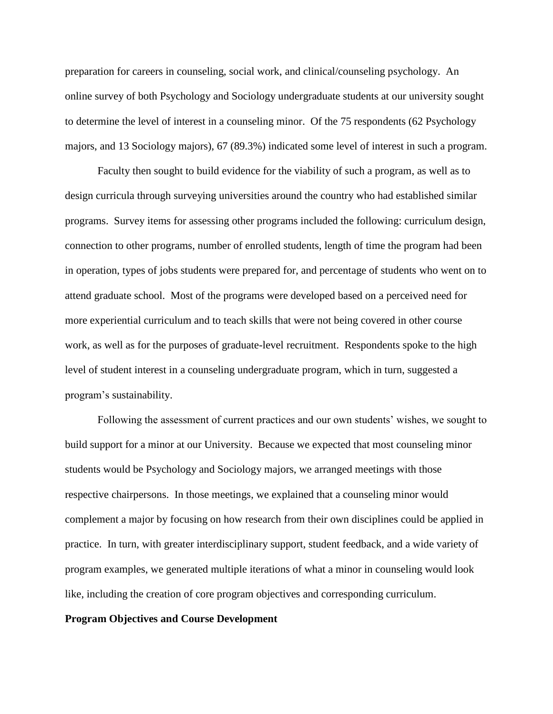preparation for careers in counseling, social work, and clinical/counseling psychology. An online survey of both Psychology and Sociology undergraduate students at our university sought to determine the level of interest in a counseling minor. Of the 75 respondents (62 Psychology majors, and 13 Sociology majors), 67 (89.3%) indicated some level of interest in such a program.

Faculty then sought to build evidence for the viability of such a program, as well as to design curricula through surveying universities around the country who had established similar programs. Survey items for assessing other programs included the following: curriculum design, connection to other programs, number of enrolled students, length of time the program had been in operation, types of jobs students were prepared for, and percentage of students who went on to attend graduate school. Most of the programs were developed based on a perceived need for more experiential curriculum and to teach skills that were not being covered in other course work, as well as for the purposes of graduate-level recruitment. Respondents spoke to the high level of student interest in a counseling undergraduate program, which in turn, suggested a program's sustainability.

Following the assessment of current practices and our own students' wishes, we sought to build support for a minor at our University. Because we expected that most counseling minor students would be Psychology and Sociology majors, we arranged meetings with those respective chairpersons. In those meetings, we explained that a counseling minor would complement a major by focusing on how research from their own disciplines could be applied in practice. In turn, with greater interdisciplinary support, student feedback, and a wide variety of program examples, we generated multiple iterations of what a minor in counseling would look like, including the creation of core program objectives and corresponding curriculum.

# **Program Objectives and Course Development**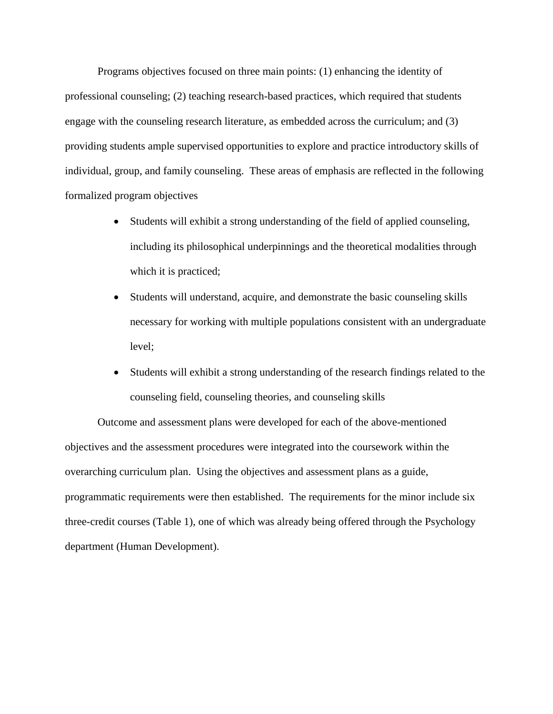Programs objectives focused on three main points: (1) enhancing the identity of professional counseling; (2) teaching research-based practices, which required that students engage with the counseling research literature, as embedded across the curriculum; and (3) providing students ample supervised opportunities to explore and practice introductory skills of individual, group, and family counseling. These areas of emphasis are reflected in the following formalized program objectives

- Students will exhibit a strong understanding of the field of applied counseling, including its philosophical underpinnings and the theoretical modalities through which it is practiced;
- Students will understand, acquire, and demonstrate the basic counseling skills necessary for working with multiple populations consistent with an undergraduate level;
- Students will exhibit a strong understanding of the research findings related to the counseling field, counseling theories, and counseling skills

Outcome and assessment plans were developed for each of the above-mentioned objectives and the assessment procedures were integrated into the coursework within the overarching curriculum plan. Using the objectives and assessment plans as a guide, programmatic requirements were then established. The requirements for the minor include six three-credit courses (Table 1), one of which was already being offered through the Psychology department (Human Development).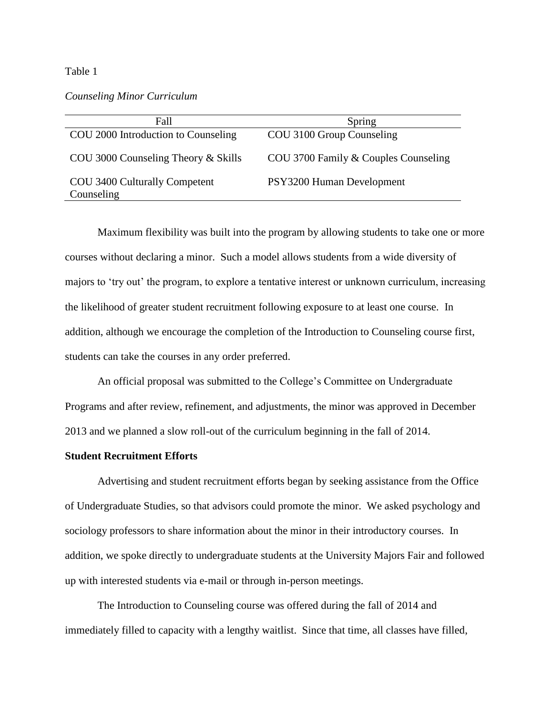#### Table 1

# *Counseling Minor Curriculum*

| Fall                                        | Spring                               |
|---------------------------------------------|--------------------------------------|
| COU 2000 Introduction to Counseling         | COU 3100 Group Counseling            |
| COU 3000 Counseling Theory $&$ Skills       | COU 3700 Family & Couples Counseling |
| COU 3400 Culturally Competent<br>Counseling | PSY3200 Human Development            |

Maximum flexibility was built into the program by allowing students to take one or more courses without declaring a minor. Such a model allows students from a wide diversity of majors to 'try out' the program, to explore a tentative interest or unknown curriculum, increasing the likelihood of greater student recruitment following exposure to at least one course. In addition, although we encourage the completion of the Introduction to Counseling course first, students can take the courses in any order preferred.

An official proposal was submitted to the College's Committee on Undergraduate Programs and after review, refinement, and adjustments, the minor was approved in December 2013 and we planned a slow roll-out of the curriculum beginning in the fall of 2014.

# **Student Recruitment Efforts**

Advertising and student recruitment efforts began by seeking assistance from the Office of Undergraduate Studies, so that advisors could promote the minor. We asked psychology and sociology professors to share information about the minor in their introductory courses. In addition, we spoke directly to undergraduate students at the University Majors Fair and followed up with interested students via e-mail or through in-person meetings.

The Introduction to Counseling course was offered during the fall of 2014 and immediately filled to capacity with a lengthy waitlist. Since that time, all classes have filled,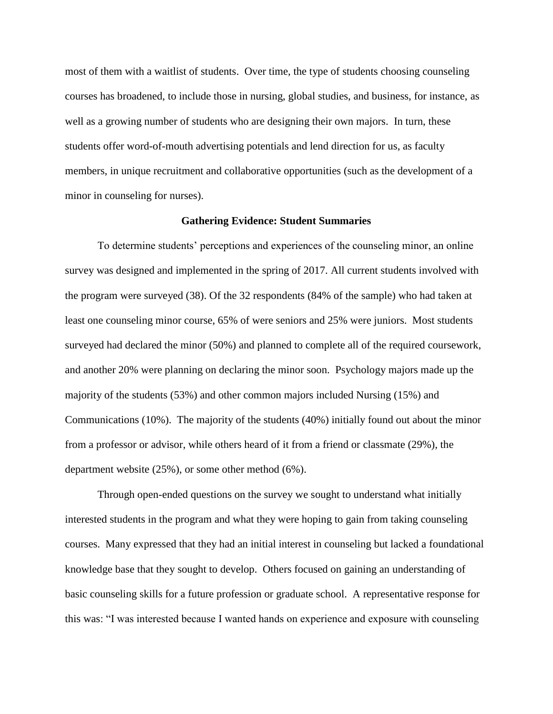most of them with a waitlist of students. Over time, the type of students choosing counseling courses has broadened, to include those in nursing, global studies, and business, for instance, as well as a growing number of students who are designing their own majors. In turn, these students offer word-of-mouth advertising potentials and lend direction for us, as faculty members, in unique recruitment and collaborative opportunities (such as the development of a minor in counseling for nurses).

#### **Gathering Evidence: Student Summaries**

To determine students' perceptions and experiences of the counseling minor, an online survey was designed and implemented in the spring of 2017. All current students involved with the program were surveyed (38). Of the 32 respondents (84% of the sample) who had taken at least one counseling minor course, 65% of were seniors and 25% were juniors. Most students surveyed had declared the minor (50%) and planned to complete all of the required coursework, and another 20% were planning on declaring the minor soon. Psychology majors made up the majority of the students (53%) and other common majors included Nursing (15%) and Communications (10%). The majority of the students (40%) initially found out about the minor from a professor or advisor, while others heard of it from a friend or classmate (29%), the department website (25%), or some other method (6%).

Through open-ended questions on the survey we sought to understand what initially interested students in the program and what they were hoping to gain from taking counseling courses. Many expressed that they had an initial interest in counseling but lacked a foundational knowledge base that they sought to develop. Others focused on gaining an understanding of basic counseling skills for a future profession or graduate school. A representative response for this was: "I was interested because I wanted hands on experience and exposure with counseling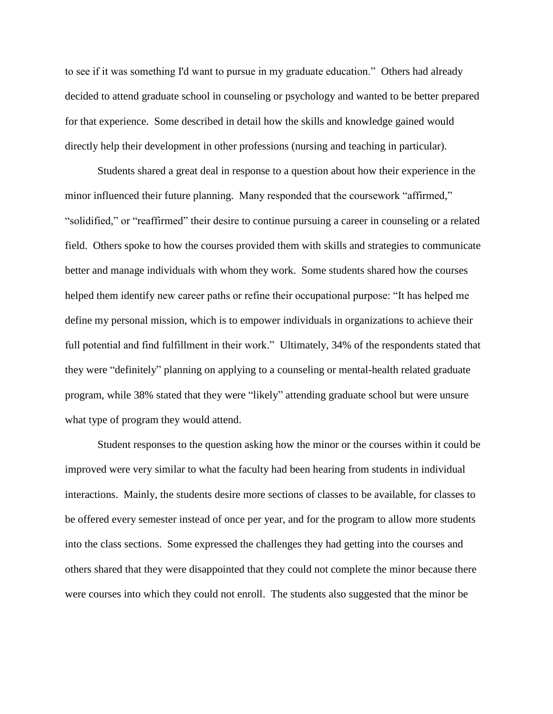to see if it was something I'd want to pursue in my graduate education." Others had already decided to attend graduate school in counseling or psychology and wanted to be better prepared for that experience. Some described in detail how the skills and knowledge gained would directly help their development in other professions (nursing and teaching in particular).

Students shared a great deal in response to a question about how their experience in the minor influenced their future planning. Many responded that the coursework "affirmed," "solidified," or "reaffirmed" their desire to continue pursuing a career in counseling or a related field. Others spoke to how the courses provided them with skills and strategies to communicate better and manage individuals with whom they work. Some students shared how the courses helped them identify new career paths or refine their occupational purpose: "It has helped me define my personal mission, which is to empower individuals in organizations to achieve their full potential and find fulfillment in their work." Ultimately, 34% of the respondents stated that they were "definitely" planning on applying to a counseling or mental-health related graduate program, while 38% stated that they were "likely" attending graduate school but were unsure what type of program they would attend.

Student responses to the question asking how the minor or the courses within it could be improved were very similar to what the faculty had been hearing from students in individual interactions. Mainly, the students desire more sections of classes to be available, for classes to be offered every semester instead of once per year, and for the program to allow more students into the class sections. Some expressed the challenges they had getting into the courses and others shared that they were disappointed that they could not complete the minor because there were courses into which they could not enroll. The students also suggested that the minor be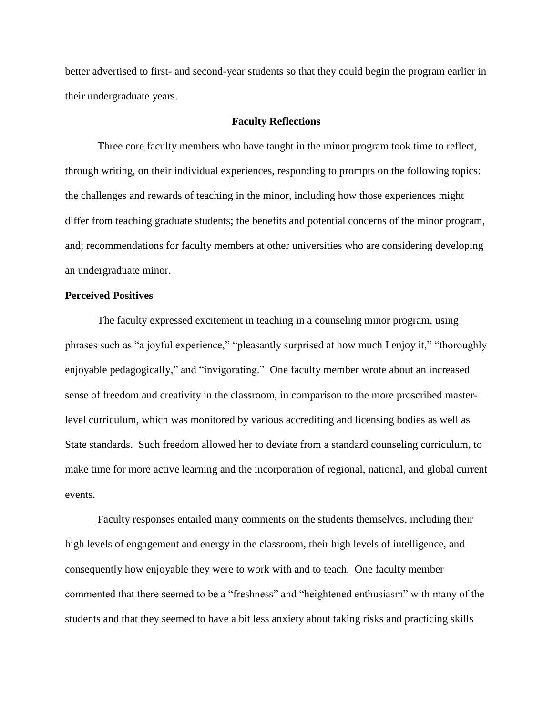better advertised to first- and second-year students so that they could begin the program earlier in their undergraduate years.

### **Faculty Reflections**

Three core faculty members who have taught in the minor program took time to reflect, through writing, on their individual experiences, responding to prompts on the following topics: the challenges and rewards of teaching in the minor, including how those experiences might differ from teaching graduate students; the benefits and potential concerns of the minor program, and; recommendations for faculty members at other universities who are considering developing an undergraduate minor.

# **Perceived Positives**

The faculty expressed excitement in teaching in a counseling minor program, using phrases such as "a joyful experience," "pleasantly surprised at how much I enjoy it," "thoroughly enjoyable pedagogically," and "invigorating." One faculty member wrote about an increased sense of freedom and creativity in the classroom, in comparison to the more proscribed masterlevel curriculum, which was monitored by various accrediting and licensing bodies as well as State standards. Such freedom allowed her to deviate from a standard counseling curriculum, to make time for more active learning and the incorporation of regional, national, and global current events.

Faculty responses entailed many comments on the students themselves, including their high levels of engagement and energy in the classroom, their high levels of intelligence, and consequently how enjoyable they were to work with and to teach. One faculty member commented that there seemed to be a "freshness" and "heightened enthusiasm" with many of the students and that they seemed to have a bit less anxiety about taking risks and practicing skills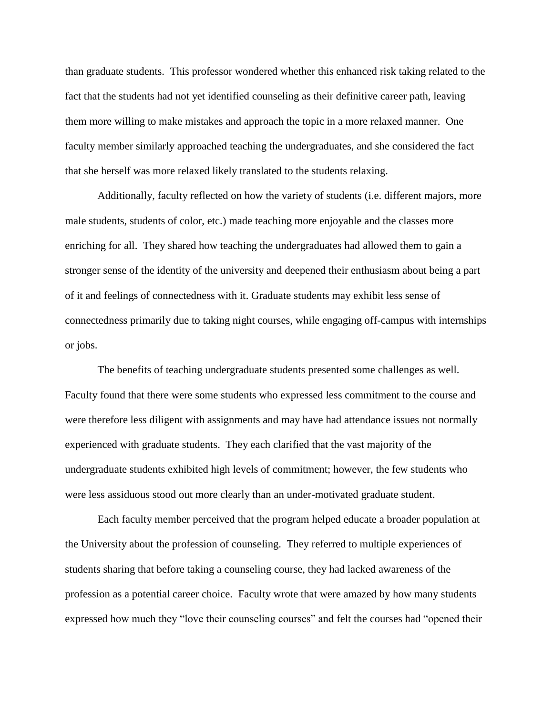than graduate students. This professor wondered whether this enhanced risk taking related to the fact that the students had not yet identified counseling as their definitive career path, leaving them more willing to make mistakes and approach the topic in a more relaxed manner. One faculty member similarly approached teaching the undergraduates, and she considered the fact that she herself was more relaxed likely translated to the students relaxing.

Additionally, faculty reflected on how the variety of students (i.e. different majors, more male students, students of color, etc.) made teaching more enjoyable and the classes more enriching for all. They shared how teaching the undergraduates had allowed them to gain a stronger sense of the identity of the university and deepened their enthusiasm about being a part of it and feelings of connectedness with it. Graduate students may exhibit less sense of connectedness primarily due to taking night courses, while engaging off-campus with internships or jobs.

The benefits of teaching undergraduate students presented some challenges as well. Faculty found that there were some students who expressed less commitment to the course and were therefore less diligent with assignments and may have had attendance issues not normally experienced with graduate students. They each clarified that the vast majority of the undergraduate students exhibited high levels of commitment; however, the few students who were less assiduous stood out more clearly than an under-motivated graduate student.

Each faculty member perceived that the program helped educate a broader population at the University about the profession of counseling. They referred to multiple experiences of students sharing that before taking a counseling course, they had lacked awareness of the profession as a potential career choice. Faculty wrote that were amazed by how many students expressed how much they "love their counseling courses" and felt the courses had "opened their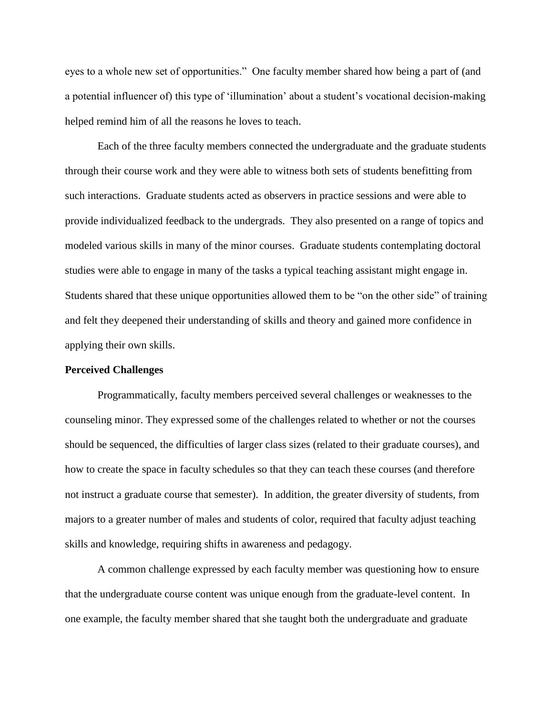eyes to a whole new set of opportunities." One faculty member shared how being a part of (and a potential influencer of) this type of 'illumination' about a student's vocational decision-making helped remind him of all the reasons he loves to teach.

Each of the three faculty members connected the undergraduate and the graduate students through their course work and they were able to witness both sets of students benefitting from such interactions. Graduate students acted as observers in practice sessions and were able to provide individualized feedback to the undergrads. They also presented on a range of topics and modeled various skills in many of the minor courses. Graduate students contemplating doctoral studies were able to engage in many of the tasks a typical teaching assistant might engage in. Students shared that these unique opportunities allowed them to be "on the other side" of training and felt they deepened their understanding of skills and theory and gained more confidence in applying their own skills.

#### **Perceived Challenges**

Programmatically, faculty members perceived several challenges or weaknesses to the counseling minor. They expressed some of the challenges related to whether or not the courses should be sequenced, the difficulties of larger class sizes (related to their graduate courses), and how to create the space in faculty schedules so that they can teach these courses (and therefore not instruct a graduate course that semester). In addition, the greater diversity of students, from majors to a greater number of males and students of color, required that faculty adjust teaching skills and knowledge, requiring shifts in awareness and pedagogy.

A common challenge expressed by each faculty member was questioning how to ensure that the undergraduate course content was unique enough from the graduate-level content. In one example, the faculty member shared that she taught both the undergraduate and graduate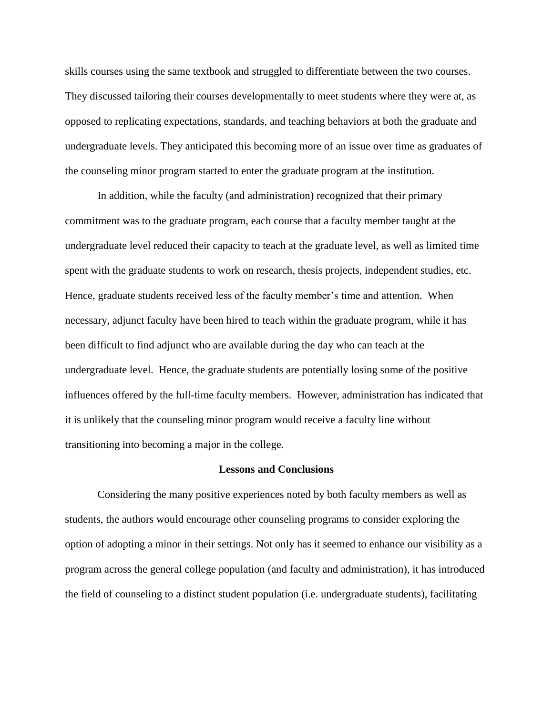skills courses using the same textbook and struggled to differentiate between the two courses. They discussed tailoring their courses developmentally to meet students where they were at, as opposed to replicating expectations, standards, and teaching behaviors at both the graduate and undergraduate levels. They anticipated this becoming more of an issue over time as graduates of the counseling minor program started to enter the graduate program at the institution.

In addition, while the faculty (and administration) recognized that their primary commitment was to the graduate program, each course that a faculty member taught at the undergraduate level reduced their capacity to teach at the graduate level, as well as limited time spent with the graduate students to work on research, thesis projects, independent studies, etc. Hence, graduate students received less of the faculty member's time and attention. When necessary, adjunct faculty have been hired to teach within the graduate program, while it has been difficult to find adjunct who are available during the day who can teach at the undergraduate level. Hence, the graduate students are potentially losing some of the positive influences offered by the full-time faculty members. However, administration has indicated that it is unlikely that the counseling minor program would receive a faculty line without transitioning into becoming a major in the college.

#### **Lessons and Conclusions**

Considering the many positive experiences noted by both faculty members as well as students, the authors would encourage other counseling programs to consider exploring the option of adopting a minor in their settings. Not only has it seemed to enhance our visibility as a program across the general college population (and faculty and administration), it has introduced the field of counseling to a distinct student population (i.e. undergraduate students), facilitating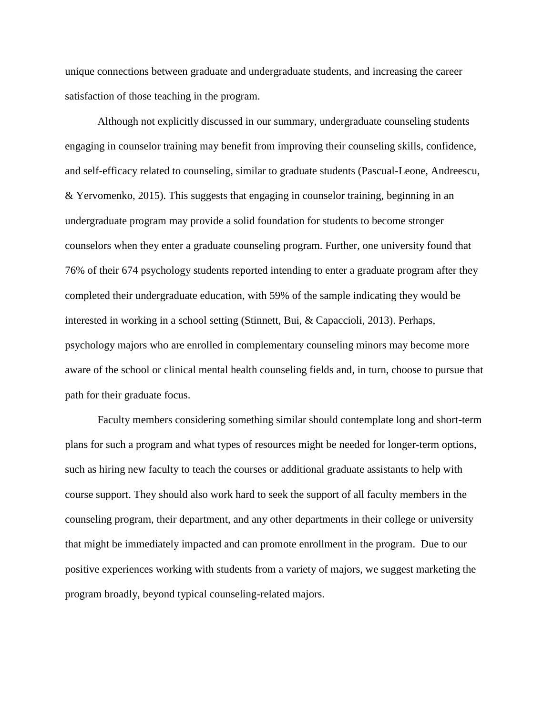unique connections between graduate and undergraduate students, and increasing the career satisfaction of those teaching in the program.

Although not explicitly discussed in our summary, undergraduate counseling students engaging in counselor training may benefit from improving their counseling skills, confidence, and self-efficacy related to counseling, similar to graduate students (Pascual-Leone, Andreescu, & Yervomenko, 2015). This suggests that engaging in counselor training, beginning in an undergraduate program may provide a solid foundation for students to become stronger counselors when they enter a graduate counseling program. Further, one university found that 76% of their 674 psychology students reported intending to enter a graduate program after they completed their undergraduate education, with 59% of the sample indicating they would be interested in working in a school setting (Stinnett, Bui, & Capaccioli, 2013). Perhaps, psychology majors who are enrolled in complementary counseling minors may become more aware of the school or clinical mental health counseling fields and, in turn, choose to pursue that path for their graduate focus.

Faculty members considering something similar should contemplate long and short-term plans for such a program and what types of resources might be needed for longer-term options, such as hiring new faculty to teach the courses or additional graduate assistants to help with course support. They should also work hard to seek the support of all faculty members in the counseling program, their department, and any other departments in their college or university that might be immediately impacted and can promote enrollment in the program. Due to our positive experiences working with students from a variety of majors, we suggest marketing the program broadly, beyond typical counseling-related majors.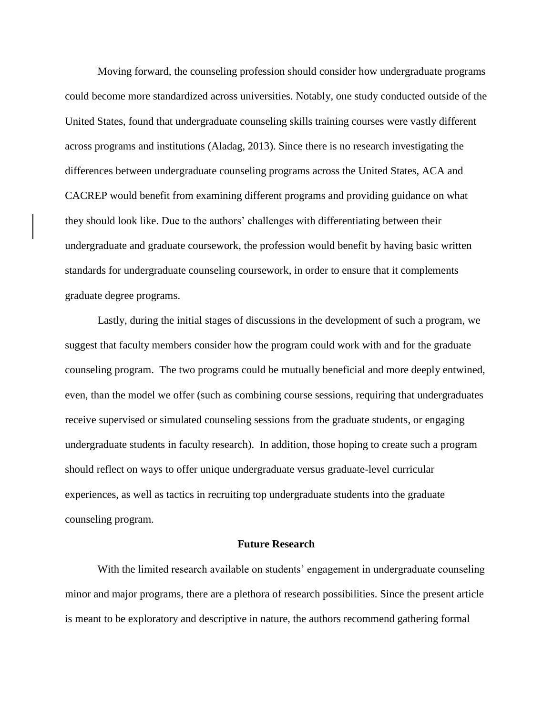Moving forward, the counseling profession should consider how undergraduate programs could become more standardized across universities. Notably, one study conducted outside of the United States, found that undergraduate counseling skills training courses were vastly different across programs and institutions (Aladag, 2013). Since there is no research investigating the differences between undergraduate counseling programs across the United States, ACA and CACREP would benefit from examining different programs and providing guidance on what they should look like. Due to the authors' challenges with differentiating between their undergraduate and graduate coursework, the profession would benefit by having basic written standards for undergraduate counseling coursework, in order to ensure that it complements graduate degree programs.

Lastly, during the initial stages of discussions in the development of such a program, we suggest that faculty members consider how the program could work with and for the graduate counseling program. The two programs could be mutually beneficial and more deeply entwined, even, than the model we offer (such as combining course sessions, requiring that undergraduates receive supervised or simulated counseling sessions from the graduate students, or engaging undergraduate students in faculty research). In addition, those hoping to create such a program should reflect on ways to offer unique undergraduate versus graduate-level curricular experiences, as well as tactics in recruiting top undergraduate students into the graduate counseling program.

### **Future Research**

With the limited research available on students' engagement in undergraduate counseling minor and major programs, there are a plethora of research possibilities. Since the present article is meant to be exploratory and descriptive in nature, the authors recommend gathering formal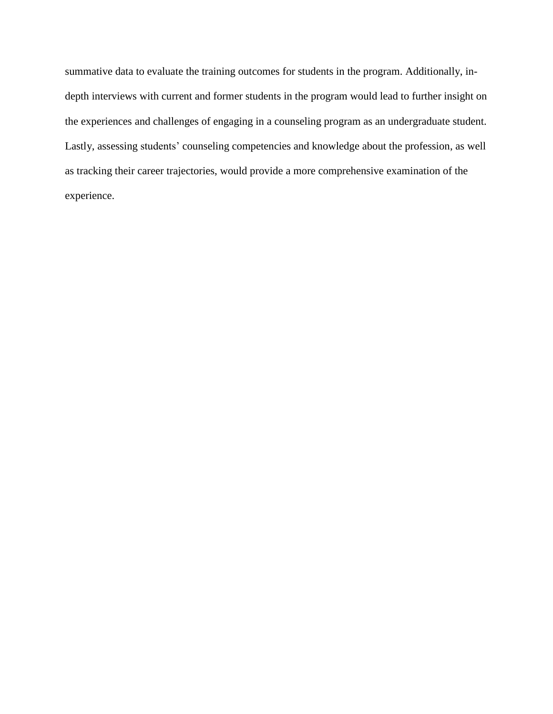summative data to evaluate the training outcomes for students in the program. Additionally, indepth interviews with current and former students in the program would lead to further insight on the experiences and challenges of engaging in a counseling program as an undergraduate student. Lastly, assessing students' counseling competencies and knowledge about the profession, as well as tracking their career trajectories, would provide a more comprehensive examination of the experience.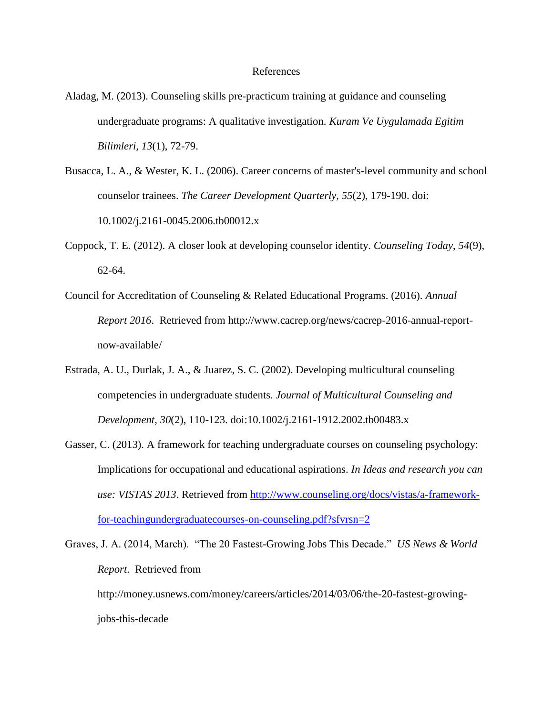#### References

- Aladag, M. (2013). Counseling skills pre-practicum training at guidance and counseling undergraduate programs: A qualitative investigation. *Kuram Ve Uygulamada Egitim Bilimleri, 13*(1), 72-79.
- Busacca, L. A., & Wester, K. L. (2006). Career concerns of master's-level community and school counselor trainees. *The Career Development Quarterly, 55*(2), 179-190. doi: 10.1002/j.2161-0045.2006.tb00012.x
- Coppock, T. E. (2012). A closer look at developing counselor identity. *Counseling Today*, *54*(9), 62-64.
- Council for Accreditation of Counseling & Related Educational Programs. (2016). *Annual Report 2016*. Retrieved from http://www.cacrep.org/news/cacrep-2016-annual-reportnow-available/
- Estrada, A. U., Durlak, J. A., & Juarez, S. C. (2002). Developing multicultural counseling competencies in undergraduate students. *Journal of Multicultural Counseling and Development, 30*(2), 110-123. doi:10.1002/j.2161-1912.2002.tb00483.x
- Gasser, C. (2013). A framework for teaching undergraduate courses on counseling psychology: Implications for occupational and educational aspirations. *In Ideas and research you can use: VISTAS 2013*. Retrieved from [http://www.counseling.org/docs/vistas/a-framework](http://www.counseling.org/docs/vistas/a-framework-for-teachingundergraduatecourses-on-counseling.pdf?sfvrsn=2)[for-teachingundergraduatecourses-on-counseling.pdf?sfvrsn=2](http://www.counseling.org/docs/vistas/a-framework-for-teachingundergraduatecourses-on-counseling.pdf?sfvrsn=2)
- Graves, J. A. (2014, March). "The 20 Fastest-Growing Jobs This Decade." *US News & World Report*. Retrieved from http://money.usnews.com/money/careers/articles/2014/03/06/the-20-fastest-growing
	- jobs-this-decade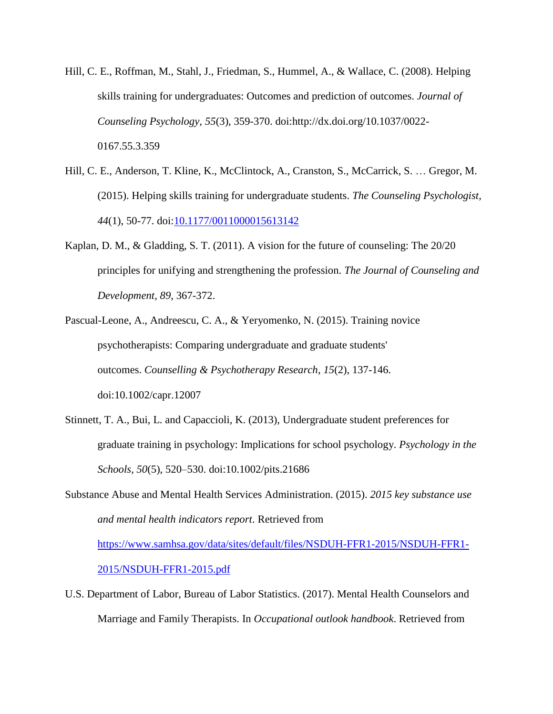- Hill, C. E., Roffman, M., Stahl, J., Friedman, S., Hummel, A., & Wallace, C. (2008). Helping skills training for undergraduates: Outcomes and prediction of outcomes. *Journal of Counseling Psychology, 55*(3), 359-370. doi:http://dx.doi.org/10.1037/0022- 0167.55.3.359
- Hill, C. E., Anderson, T. Kline, K., McClintock, A., Cranston, S., McCarrick, S. … Gregor, M. (2015). Helping skills training for undergraduate students. *The Counseling Psychologist, 44*(1), 50-77. doi[:10.1177/0011000015613142](http://dx.doi.org/10.1177%2F0011000015613142)
- Kaplan, D. M., & Gladding, S. T. (2011). A vision for the future of counseling: The 20/20 principles for unifying and strengthening the profession. *The Journal of Counseling and Development, 89*, 367-372.
- Pascual-Leone, A., Andreescu, C. A., & Yeryomenko, N. (2015). Training novice psychotherapists: Comparing undergraduate and graduate students' outcomes. *Counselling & Psychotherapy Research*, *15*(2), 137-146. doi:10.1002/capr.12007
- Stinnett, T. A., Bui, L. and Capaccioli, K. (2013), Undergraduate student preferences for graduate training in psychology: Implications for school psychology. *Psychology in the Schools, 50*(5), 520–530. doi:10.1002/pits.21686
- Substance Abuse and Mental Health Services Administration. (2015). *2015 key substance use and mental health indicators report*. Retrieved from [https://www.samhsa.gov/data/sites/default/files/NSDUH-FFR1-2015/NSDUH-FFR1-](https://www.samhsa.gov/data/sites/default/files/NSDUH-FFR1-2015/NSDUH-FFR1-2015/NSDUH-FFR1-2015.pdf) [2015/NSDUH-FFR1-2015.pdf](https://www.samhsa.gov/data/sites/default/files/NSDUH-FFR1-2015/NSDUH-FFR1-2015/NSDUH-FFR1-2015.pdf)
- U.S. Department of Labor, Bureau of Labor Statistics. (2017). Mental Health Counselors and Marriage and Family Therapists. In *Occupational outlook handbook*. Retrieved from